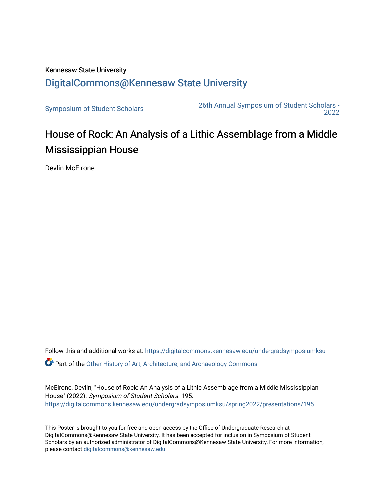## Kennesaw State University [DigitalCommons@Kennesaw State University](https://digitalcommons.kennesaw.edu/)

[Symposium of Student Scholars](https://digitalcommons.kennesaw.edu/undergradsymposiumksu) [26th Annual Symposium of Student Scholars -](https://digitalcommons.kennesaw.edu/undergradsymposiumksu/spring2022)  [2022](https://digitalcommons.kennesaw.edu/undergradsymposiumksu/spring2022) 

## House of Rock: An Analysis of a Lithic Assemblage from a Middle Mississippian House

Devlin McElrone

Follow this and additional works at: [https://digitalcommons.kennesaw.edu/undergradsymposiumksu](https://digitalcommons.kennesaw.edu/undergradsymposiumksu?utm_source=digitalcommons.kennesaw.edu%2Fundergradsymposiumksu%2Fspring2022%2Fpresentations%2F195&utm_medium=PDF&utm_campaign=PDFCoverPages)  Part of the [Other History of Art, Architecture, and Archaeology Commons](http://network.bepress.com/hgg/discipline/517?utm_source=digitalcommons.kennesaw.edu%2Fundergradsymposiumksu%2Fspring2022%2Fpresentations%2F195&utm_medium=PDF&utm_campaign=PDFCoverPages) 

McElrone, Devlin, "House of Rock: An Analysis of a Lithic Assemblage from a Middle Mississippian House" (2022). Symposium of Student Scholars. 195. [https://digitalcommons.kennesaw.edu/undergradsymposiumksu/spring2022/presentations/195](https://digitalcommons.kennesaw.edu/undergradsymposiumksu/spring2022/presentations/195?utm_source=digitalcommons.kennesaw.edu%2Fundergradsymposiumksu%2Fspring2022%2Fpresentations%2F195&utm_medium=PDF&utm_campaign=PDFCoverPages)

This Poster is brought to you for free and open access by the Office of Undergraduate Research at DigitalCommons@Kennesaw State University. It has been accepted for inclusion in Symposium of Student Scholars by an authorized administrator of DigitalCommons@Kennesaw State University. For more information, please contact [digitalcommons@kennesaw.edu.](mailto:digitalcommons@kennesaw.edu)